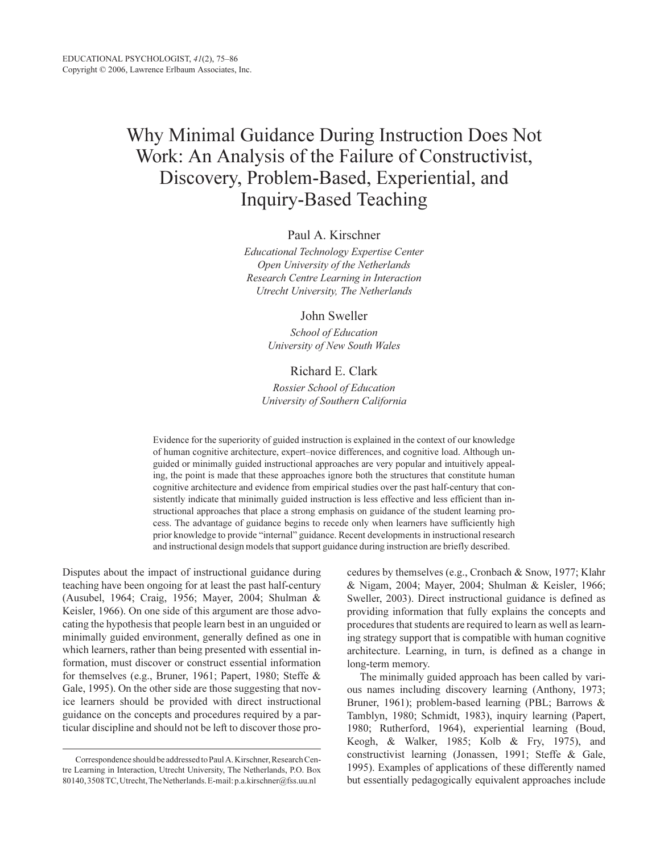# Why Minimal Guidance During Instruction Does Not Work: An Analysis of the Failure of Constructivist, Discovery, Problem-Based, Experiential, and Inquiry-Based Teaching

# Paul A. Kirschner

Educational Technology Expertise Center Open University of the Netherlands Research Centre Learning in Interaction Utrecht University, The Netherlands

## John Sweller

School of Education University of New South Wales

# Richard E. Clark

Rossier School of Education University of Southern California

Evidence for the superiority of guided instruction is explained in the context of our knowledge of human cognitive architecture, expert–novice differences, and cognitive load. Although unguided or minimally guided instructional approaches are very popular and intuitively appealing, the point is made that these approaches ignore both the structures that constitute human cognitive architecture and evidence from empirical studies over the past half-century that consistently indicate that minimally guided instruction is less effective and less efficient than instructional approaches that place a strong emphasis on guidance of the student learning process. The advantage of guidance begins to recede only when learners have sufficiently high prior knowledge to provide "internal" guidance. Recent developments in instructional research and instructional design models that support guidance during instruction are briefly described.

Disputes about the impact of instructional guidance during teaching have been ongoing for at least the past half-century (Ausubel, 1964; Craig, 1956; Mayer, 2004; Shulman & Keisler, 1966). On one side of this argument are those advocating the hypothesis that people learn best in an unguided or minimally guided environment, generally defined as one in which learners, rather than being presented with essential information, must discover or construct essential information for themselves (e.g., Bruner, 1961; Papert, 1980; Steffe & Gale, 1995). On the other side are those suggesting that novice learners should be provided with direct instructional guidance on the concepts and procedures required by a particular discipline and should not be left to discover those pro-

cedures by themselves (e.g., Cronbach & Snow, 1977; Klahr & Nigam, 2004; Mayer, 2004; Shulman & Keisler, 1966; Sweller, 2003). Direct instructional guidance is defined as providing information that fully explains the concepts and procedures that students are required to learn as well as learning strategy support that is compatible with human cognitive architecture. Learning, in turn, is defined as a change in long-term memory.

The minimally guided approach has been called by various names including discovery learning (Anthony, 1973; Bruner, 1961); problem-based learning (PBL; Barrows & Tamblyn, 1980; Schmidt, 1983), inquiry learning (Papert, 1980; Rutherford, 1964), experiential learning (Boud, Keogh, & Walker, 1985; Kolb & Fry, 1975), and constructivist learning (Jonassen, 1991; Steffe & Gale, 1995). Examples of applications of these differently named but essentially pedagogically equivalent approaches include

Correspondence should be addressed to Paul A. Kirschner, Research Centre Learning in Interaction, Utrecht University, The Netherlands, P.O. Box 80140,3508TC,Utrecht,TheNetherlands.E-mail:p.a.kirschner@fss.uu.nl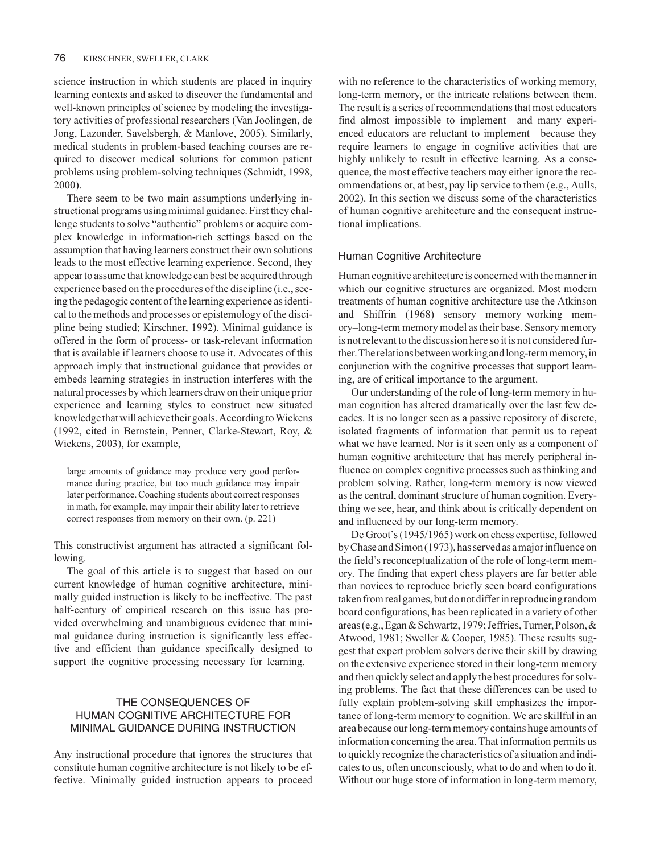science instruction in which students are placed in inquiry learning contexts and asked to discover the fundamental and well-known principles of science by modeling the investigatory activities of professional researchers (Van Joolingen, de Jong, Lazonder, Savelsbergh, & Manlove, 2005). Similarly, medical students in problem-based teaching courses are required to discover medical solutions for common patient problems using problem-solving techniques (Schmidt, 1998, 2000).

There seem to be two main assumptions underlying instructional programs using minimal guidance. First they challenge students to solve "authentic" problems or acquire complex knowledge in information-rich settings based on the assumption that having learners construct their own solutions leads to the most effective learning experience. Second, they appear to assume that knowledge can best be acquired through experience based on the procedures of the discipline (i.e., seeing the pedagogic content of the learning experience as identical to the methods and processes or epistemology of the discipline being studied; Kirschner, 1992). Minimal guidance is offered in the form of process- or task-relevant information that is available if learners choose to use it. Advocates of this approach imply that instructional guidance that provides or embeds learning strategies in instruction interferes with the natural processes by which learners draw on their unique prior experience and learning styles to construct new situated knowledgethatwillachievetheirgoals.AccordingtoWickens (1992, cited in Bernstein, Penner, Clarke-Stewart, Roy, & Wickens, 2003), for example,

large amounts of guidance may produce very good performance during practice, but too much guidance may impair later performance. Coaching students about correct responses in math, for example, may impair their ability later to retrieve correct responses from memory on their own. (p. 221)

This constructivist argument has attracted a significant following.

The goal of this article is to suggest that based on our current knowledge of human cognitive architecture, minimally guided instruction is likely to be ineffective. The past half-century of empirical research on this issue has provided overwhelming and unambiguous evidence that minimal guidance during instruction is significantly less effective and efficient than guidance specifically designed to support the cognitive processing necessary for learning.

## THE CONSEQUENCES OF HUMAN COGNITIVE ARCHITECTURE FOR MINIMAL GUIDANCE DURING INSTRUCTION

Any instructional procedure that ignores the structures that constitute human cognitive architecture is not likely to be effective. Minimally guided instruction appears to proceed with no reference to the characteristics of working memory, long-term memory, or the intricate relations between them. The result is a series of recommendations that most educators find almost impossible to implement—and many experienced educators are reluctant to implement—because they require learners to engage in cognitive activities that are highly unlikely to result in effective learning. As a consequence, the most effective teachers may either ignore the recommendations or, at best, pay lip service to them (e.g., Aulls, 2002). In this section we discuss some of the characteristics of human cognitive architecture and the consequent instructional implications.

## Human Cognitive Architecture

Human cognitive architecture is concerned with the manner in which our cognitive structures are organized. Most modern treatments of human cognitive architecture use the Atkinson and Shiffrin (1968) sensory memory–working memory–long-term memory model as their base. Sensory memory is not relevant to the discussion here so it is not considered further.Therelationsbetweenworkingandlong-term memory,in conjunction with the cognitive processes that support learning, are of critical importance to the argument.

Our understanding of the role of long-term memory in human cognition has altered dramatically over the last few decades. It is no longer seen as a passive repository of discrete, isolated fragments of information that permit us to repeat what we have learned. Nor is it seen only as a component of human cognitive architecture that has merely peripheral influence on complex cognitive processes such as thinking and problem solving. Rather, long-term memory is now viewed as the central, dominant structure of human cognition. Everything we see, hear, and think about is critically dependent on and influenced by our long-term memory.

De Groot's (1945/1965) work on chess expertise, followed by Chase and Simon (1973), has served as a major influence on the field's reconceptualization of the role of long-term memory. The finding that expert chess players are far better able than novices to reproduce briefly seen board configurations taken from real games, but do not differ in reproducing random board configurations, has been replicated in a variety of other areas(e.g.,Egan&Schwartz,1979;Jeffries,Turner,Polson,& Atwood, 1981; Sweller & Cooper, 1985). These results suggest that expert problem solvers derive their skill by drawing on the extensive experience stored in their long-term memory and then quickly select and apply the best procedures for solving problems. The fact that these differences can be used to fully explain problem-solving skill emphasizes the importance of long-term memory to cognition. We are skillful in an area because our long-term memorycontains huge amounts of information concerning the area. That information permits us to quickly recognize the characteristics of a situation and indicates to us, often unconsciously, what to do and when to do it. Without our huge store of information in long-term memory,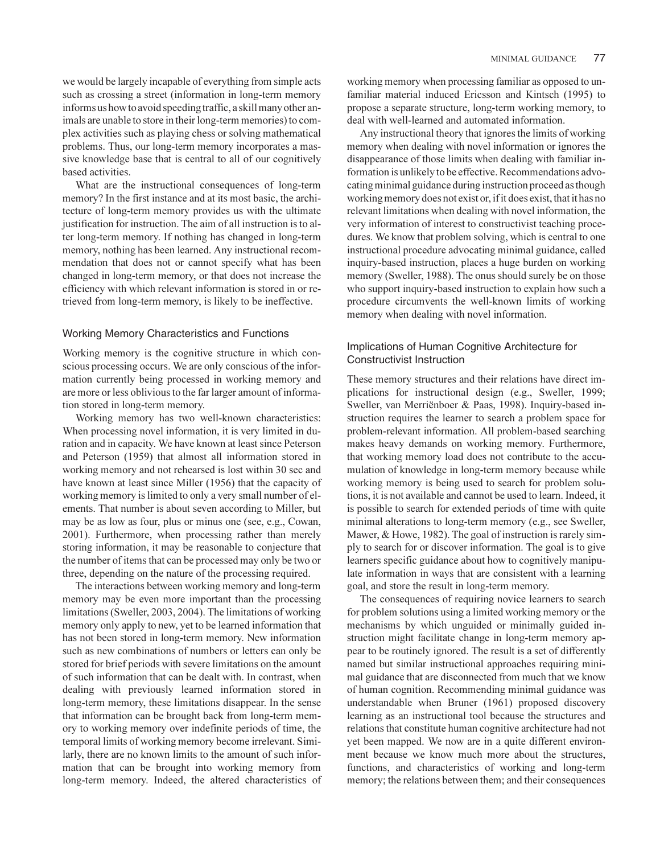we would be largely incapable of everything from simple acts such as crossing a street (information in long-term memory informs us how to avoid speeding traffic, a skill manyother animals are unable to store in their long-term memories) to complex activities such as playing chess or solving mathematical problems. Thus, our long-term memory incorporates a massive knowledge base that is central to all of our cognitively based activities.

What are the instructional consequences of long-term memory? In the first instance and at its most basic, the architecture of long-term memory provides us with the ultimate justification for instruction. The aim of all instruction is to alter long-term memory. If nothing has changed in long-term memory, nothing has been learned. Any instructional recommendation that does not or cannot specify what has been changed in long-term memory, or that does not increase the efficiency with which relevant information is stored in or retrieved from long-term memory, is likely to be ineffective.

#### Working Memory Characteristics and Functions

Working memory is the cognitive structure in which conscious processing occurs. We are only conscious of the information currently being processed in working memory and are more or less oblivious to the far larger amount of information stored in long-term memory.

Working memory has two well-known characteristics: When processing novel information, it is very limited in duration and in capacity. We have known at least since Peterson and Peterson (1959) that almost all information stored in working memory and not rehearsed is lost within 30 sec and have known at least since Miller (1956) that the capacity of working memory is limited to only a very small number of elements. That number is about seven according to Miller, but may be as low as four, plus or minus one (see, e.g., Cowan, 2001). Furthermore, when processing rather than merely storing information, it may be reasonable to conjecture that the number of items that can be processed may only be two or three, depending on the nature of the processing required.

The interactions between working memory and long-term memory may be even more important than the processing limitations (Sweller, 2003, 2004). The limitations of working memory only apply to new, yet to be learned information that has not been stored in long-term memory. New information such as new combinations of numbers or letters can only be stored for brief periods with severe limitations on the amount of such information that can be dealt with. In contrast, when dealing with previously learned information stored in long-term memory, these limitations disappear. In the sense that information can be brought back from long-term memory to working memory over indefinite periods of time, the temporal limits of working memory become irrelevant. Similarly, there are no known limits to the amount of such information that can be brought into working memory from long-term memory. Indeed, the altered characteristics of working memory when processing familiar as opposed to unfamiliar material induced Ericsson and Kintsch (1995) to propose a separate structure, long-term working memory, to deal with well-learned and automated information.

Any instructional theory that ignores the limits of working memory when dealing with novel information or ignores the disappearance of those limits when dealing with familiar information is unlikely to be effective. Recommendations advocating minimal guidance during instruction proceed as though working memorydoes not exist or, if it does exist, that it has no relevant limitations when dealing with novel information, the very information of interest to constructivist teaching procedures. We know that problem solving, which is central to one instructional procedure advocating minimal guidance, called inquiry-based instruction, places a huge burden on working memory (Sweller, 1988). The onus should surely be on those who support inquiry-based instruction to explain how such a procedure circumvents the well-known limits of working memory when dealing with novel information.

## Implications of Human Cognitive Architecture for Constructivist Instruction

These memory structures and their relations have direct implications for instructional design (e.g., Sweller, 1999; Sweller, van Merriënboer & Paas, 1998). Inquiry-based instruction requires the learner to search a problem space for problem-relevant information. All problem-based searching makes heavy demands on working memory. Furthermore, that working memory load does not contribute to the accumulation of knowledge in long-term memory because while working memory is being used to search for problem solutions, it is not available and cannot be used to learn. Indeed, it is possible to search for extended periods of time with quite minimal alterations to long-term memory (e.g., see Sweller, Mawer, & Howe, 1982). The goal of instruction is rarely simply to search for or discover information. The goal is to give learners specific guidance about how to cognitively manipulate information in ways that are consistent with a learning goal, and store the result in long-term memory.

The consequences of requiring novice learners to search for problem solutions using a limited working memory or the mechanisms by which unguided or minimally guided instruction might facilitate change in long-term memory appear to be routinely ignored. The result is a set of differently named but similar instructional approaches requiring minimal guidance that are disconnected from much that we know of human cognition. Recommending minimal guidance was understandable when Bruner (1961) proposed discovery learning as an instructional tool because the structures and relations that constitute human cognitive architecture had not yet been mapped. We now are in a quite different environment because we know much more about the structures, functions, and characteristics of working and long-term memory; the relations between them; and their consequences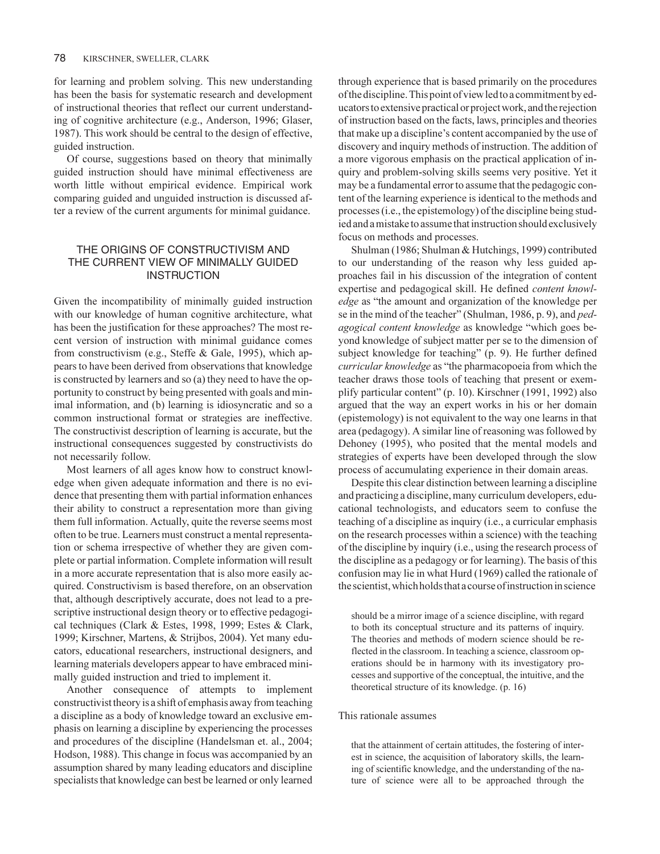for learning and problem solving. This new understanding has been the basis for systematic research and development of instructional theories that reflect our current understanding of cognitive architecture (e.g., Anderson, 1996; Glaser, 1987). This work should be central to the design of effective, guided instruction.

Of course, suggestions based on theory that minimally guided instruction should have minimal effectiveness are worth little without empirical evidence. Empirical work comparing guided and unguided instruction is discussed after a review of the current arguments for minimal guidance.

## THE ORIGINS OF CONSTRUCTIVISM AND THE CURRENT VIEW OF MINIMALLY GUIDED **INSTRUCTION**

Given the incompatibility of minimally guided instruction with our knowledge of human cognitive architecture, what has been the justification for these approaches? The most recent version of instruction with minimal guidance comes from constructivism (e.g., Steffe & Gale, 1995), which appears to have been derived from observations that knowledge is constructed by learners and so (a) they need to have the opportunity to construct by being presented with goals and minimal information, and (b) learning is idiosyncratic and so a common instructional format or strategies are ineffective. The constructivist description of learning is accurate, but the instructional consequences suggested by constructivists do not necessarily follow.

Most learners of all ages know how to construct knowledge when given adequate information and there is no evidence that presenting them with partial information enhances their ability to construct a representation more than giving them full information. Actually, quite the reverse seems most often to be true. Learners must construct a mental representation or schema irrespective of whether they are given complete or partial information. Complete information will result in a more accurate representation that is also more easily acquired. Constructivism is based therefore, on an observation that, although descriptively accurate, does not lead to a prescriptive instructional design theory or to effective pedagogical techniques (Clark & Estes, 1998, 1999; Estes & Clark, 1999; Kirschner, Martens, & Strijbos, 2004). Yet many educators, educational researchers, instructional designers, and learning materials developers appear to have embraced minimally guided instruction and tried to implement it.

Another consequence of attempts to implement constructivist theory is a shift of emphasis away from teaching a discipline as a body of knowledge toward an exclusive emphasis on learning a discipline by experiencing the processes and procedures of the discipline (Handelsman et. al., 2004; Hodson, 1988). This change in focus was accompanied by an assumption shared by many leading educators and discipline specialists that knowledge can best be learned or only learned through experience that is based primarily on the procedures of the discipline. This point of view led to a commitment by educators to extensive practical or project work, and the rejection of instruction based on the facts, laws, principles and theories that make up a discipline's content accompanied by the use of discovery and inquiry methods of instruction. The addition of a more vigorous emphasis on the practical application of inquiry and problem-solving skills seems very positive. Yet it may be a fundamental error to assume that the pedagogic content of the learning experience is identical to the methods and processes (i.e., the epistemology) of the discipline being studied and a mistake to assume that instruction should exclusively focus on methods and processes.

Shulman (1986; Shulman & Hutchings, 1999) contributed to our understanding of the reason why less guided approaches fail in his discussion of the integration of content expertise and pedagogical skill. He defined *content knowl*edge as "the amount and organization of the knowledge per se in the mind of the teacher" (Shulman, 1986, p. 9), and pedagogical content knowledge as knowledge "which goes beyond knowledge of subject matter per se to the dimension of subject knowledge for teaching" (p. 9). He further defined curricular knowledge as "the pharmacopoeia from which the teacher draws those tools of teaching that present or exemplify particular content" (p. 10). Kirschner (1991, 1992) also argued that the way an expert works in his or her domain (epistemology) is not equivalent to the way one learns in that area (pedagogy). A similar line of reasoning was followed by Dehoney (1995), who posited that the mental models and strategies of experts have been developed through the slow process of accumulating experience in their domain areas.

Despite this clear distinction between learning a discipline and practicing a discipline, many curriculum developers, educational technologists, and educators seem to confuse the teaching of a discipline as inquiry (i.e., a curricular emphasis on the research processes within a science) with the teaching of the discipline by inquiry (i.e., using the research process of the discipline as a pedagogy or for learning). The basis of this confusion may lie in what Hurd (1969) called the rationale of thescientist,whichholdsthatacourseofinstructioninscience

should be a mirror image of a science discipline, with regard to both its conceptual structure and its patterns of inquiry. The theories and methods of modern science should be reflected in the classroom. In teaching a science, classroom operations should be in harmony with its investigatory processes and supportive of the conceptual, the intuitive, and the theoretical structure of its knowledge. (p. 16)

## This rationale assumes

that the attainment of certain attitudes, the fostering of interest in science, the acquisition of laboratory skills, the learning of scientific knowledge, and the understanding of the nature of science were all to be approached through the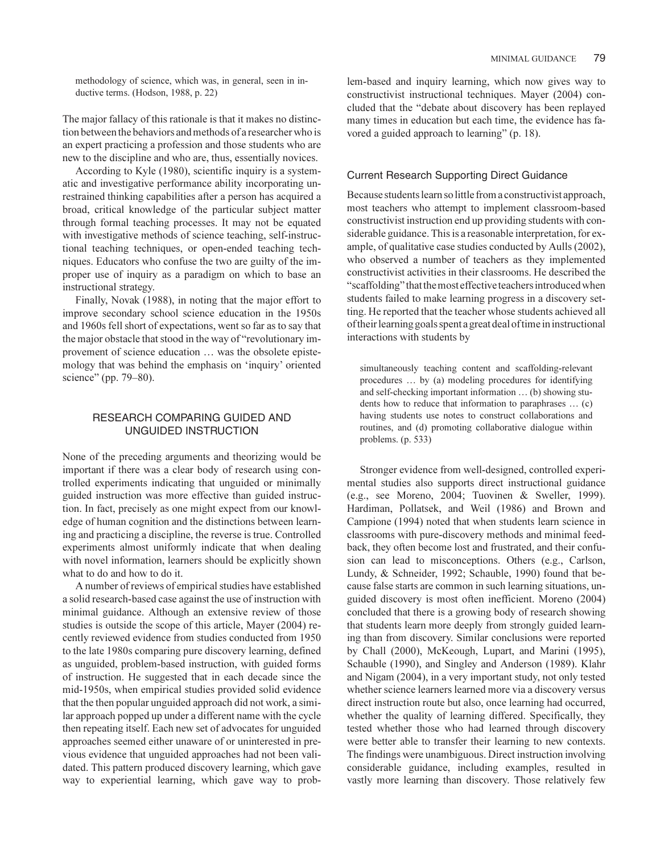methodology of science, which was, in general, seen in inductive terms. (Hodson, 1988, p. 22)

The major fallacy of this rationale is that it makes no distinction between the behaviors and methods of a researcher who is an expert practicing a profession and those students who are new to the discipline and who are, thus, essentially novices.

According to Kyle (1980), scientific inquiry is a systematic and investigative performance ability incorporating unrestrained thinking capabilities after a person has acquired a broad, critical knowledge of the particular subject matter through formal teaching processes. It may not be equated with investigative methods of science teaching, self-instructional teaching techniques, or open-ended teaching techniques. Educators who confuse the two are guilty of the improper use of inquiry as a paradigm on which to base an instructional strategy.

Finally, Novak (1988), in noting that the major effort to improve secondary school science education in the 1950s and 1960s fell short of expectations, went so far as to say that the major obstacle that stood in the way of "revolutionary improvement of science education … was the obsolete epistemology that was behind the emphasis on 'inquiry' oriented science" (pp. 79–80).

## RESEARCH COMPARING GUIDED AND UNGUIDED INSTRUCTION

None of the preceding arguments and theorizing would be important if there was a clear body of research using controlled experiments indicating that unguided or minimally guided instruction was more effective than guided instruction. In fact, precisely as one might expect from our knowledge of human cognition and the distinctions between learning and practicing a discipline, the reverse is true. Controlled experiments almost uniformly indicate that when dealing with novel information, learners should be explicitly shown what to do and how to do it.

A number of reviews of empirical studies have established a solid research-based case against the use of instruction with minimal guidance. Although an extensive review of those studies is outside the scope of this article, Mayer (2004) recently reviewed evidence from studies conducted from 1950 to the late 1980s comparing pure discovery learning, defined as unguided, problem-based instruction, with guided forms of instruction. He suggested that in each decade since the mid-1950s, when empirical studies provided solid evidence that the then popular unguided approach did not work, a similar approach popped up under a different name with the cycle then repeating itself. Each new set of advocates for unguided approaches seemed either unaware of or uninterested in previous evidence that unguided approaches had not been validated. This pattern produced discovery learning, which gave way to experiential learning, which gave way to problem-based and inquiry learning, which now gives way to constructivist instructional techniques. Mayer (2004) concluded that the "debate about discovery has been replayed many times in education but each time, the evidence has favored a guided approach to learning" (p. 18).

## Current Research Supporting Direct Guidance

Because students learn so little from a constructivist approach, most teachers who attempt to implement classroom-based constructivist instruction end up providing students with considerable guidance. This is a reasonable interpretation, for example, of qualitative case studies conducted by Aulls (2002), who observed a number of teachers as they implemented constructivist activities in their classrooms. He described the "scaffolding" that the most effective teachers introduced when students failed to make learning progress in a discovery setting. He reported that the teacher whose students achieved all of their learning goals spent a great deal of time in instructional interactions with students by

simultaneously teaching content and scaffolding-relevant procedures … by (a) modeling procedures for identifying and self-checking important information … (b) showing students how to reduce that information to paraphrases … (c) having students use notes to construct collaborations and routines, and (d) promoting collaborative dialogue within problems. (p. 533)

Stronger evidence from well-designed, controlled experimental studies also supports direct instructional guidance (e.g., see Moreno, 2004; Tuovinen & Sweller, 1999). Hardiman, Pollatsek, and Weil (1986) and Brown and Campione (1994) noted that when students learn science in classrooms with pure-discovery methods and minimal feedback, they often become lost and frustrated, and their confusion can lead to misconceptions. Others (e.g., Carlson, Lundy, & Schneider, 1992; Schauble, 1990) found that because false starts are common in such learning situations, unguided discovery is most often inefficient. Moreno (2004) concluded that there is a growing body of research showing that students learn more deeply from strongly guided learning than from discovery. Similar conclusions were reported by Chall (2000), McKeough, Lupart, and Marini (1995), Schauble (1990), and Singley and Anderson (1989). Klahr and Nigam (2004), in a very important study, not only tested whether science learners learned more via a discovery versus direct instruction route but also, once learning had occurred, whether the quality of learning differed. Specifically, they tested whether those who had learned through discovery were better able to transfer their learning to new contexts. The findings were unambiguous. Direct instruction involving considerable guidance, including examples, resulted in vastly more learning than discovery. Those relatively few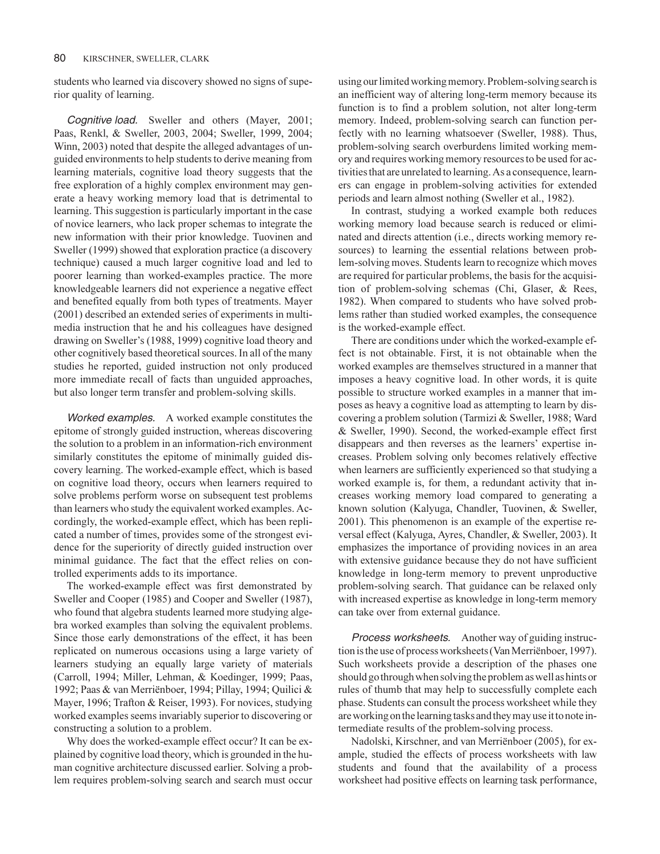students who learned via discovery showed no signs of superior quality of learning.

Cognitive load. Sweller and others (Mayer, 2001; Paas, Renkl, & Sweller, 2003, 2004; Sweller, 1999, 2004; Winn, 2003) noted that despite the alleged advantages of unguided environments to help students to derive meaning from learning materials, cognitive load theory suggests that the free exploration of a highly complex environment may generate a heavy working memory load that is detrimental to learning. This suggestion is particularly important in the case of novice learners, who lack proper schemas to integrate the new information with their prior knowledge. Tuovinen and Sweller (1999) showed that exploration practice (a discovery technique) caused a much larger cognitive load and led to poorer learning than worked-examples practice. The more knowledgeable learners did not experience a negative effect and benefited equally from both types of treatments. Mayer (2001) described an extended series of experiments in multimedia instruction that he and his colleagues have designed drawing on Sweller's (1988, 1999) cognitive load theory and other cognitively based theoretical sources. In all of the many studies he reported, guided instruction not only produced more immediate recall of facts than unguided approaches, but also longer term transfer and problem-solving skills.

Worked examples. A worked example constitutes the epitome of strongly guided instruction, whereas discovering the solution to a problem in an information-rich environment similarly constitutes the epitome of minimally guided discovery learning. The worked-example effect, which is based on cognitive load theory, occurs when learners required to solve problems perform worse on subsequent test problems than learners who study the equivalent worked examples. Accordingly, the worked-example effect, which has been replicated a number of times, provides some of the strongest evidence for the superiority of directly guided instruction over minimal guidance. The fact that the effect relies on controlled experiments adds to its importance.

The worked-example effect was first demonstrated by Sweller and Cooper (1985) and Cooper and Sweller (1987), who found that algebra students learned more studying algebra worked examples than solving the equivalent problems. Since those early demonstrations of the effect, it has been replicated on numerous occasions using a large variety of learners studying an equally large variety of materials (Carroll, 1994; Miller, Lehman, & Koedinger, 1999; Paas, 1992; Paas & van Merriënboer, 1994; Pillay, 1994; Quilici & Mayer, 1996; Trafton & Reiser, 1993). For novices, studying worked examples seems invariably superior to discovering or constructing a solution to a problem.

Why does the worked-example effect occur? It can be explained by cognitive load theory, which is grounded in the human cognitive architecture discussed earlier. Solving a problem requires problem-solving search and search must occur using our limited working memory. Problem-solving search is an inefficient way of altering long-term memory because its function is to find a problem solution, not alter long-term memory. Indeed, problem-solving search can function perfectly with no learning whatsoever (Sweller, 1988). Thus, problem-solving search overburdens limited working memory and requires working memory resources to be used for activities that are unrelated to learning. As a consequence, learners can engage in problem-solving activities for extended periods and learn almost nothing (Sweller et al., 1982).

In contrast, studying a worked example both reduces working memory load because search is reduced or eliminated and directs attention (i.e., directs working memory resources) to learning the essential relations between problem-solving moves. Students learn to recognize which moves are required for particular problems, the basis for the acquisition of problem-solving schemas (Chi, Glaser, & Rees, 1982). When compared to students who have solved problems rather than studied worked examples, the consequence is the worked-example effect.

There are conditions under which the worked-example effect is not obtainable. First, it is not obtainable when the worked examples are themselves structured in a manner that imposes a heavy cognitive load. In other words, it is quite possible to structure worked examples in a manner that imposes as heavy a cognitive load as attempting to learn by discovering a problem solution (Tarmizi & Sweller, 1988; Ward & Sweller, 1990). Second, the worked-example effect first disappears and then reverses as the learners' expertise increases. Problem solving only becomes relatively effective when learners are sufficiently experienced so that studying a worked example is, for them, a redundant activity that increases working memory load compared to generating a known solution (Kalyuga, Chandler, Tuovinen, & Sweller, 2001). This phenomenon is an example of the expertise reversal effect (Kalyuga, Ayres, Chandler, & Sweller, 2003). It emphasizes the importance of providing novices in an area with extensive guidance because they do not have sufficient knowledge in long-term memory to prevent unproductive problem-solving search. That guidance can be relaxed only with increased expertise as knowledge in long-term memory can take over from external guidance.

Process worksheets. Another way of guiding instruction is the use of process worksheets (Van Merriënboer, 1997). Such worksheets provide a description of the phases one should go through when solving the problem as well as hints or rules of thumb that may help to successfully complete each phase. Students can consult the process worksheet while they are working on the learning tasks and they may use it to note intermediate results of the problem-solving process.

Nadolski, Kirschner, and van Merriënboer (2005), for example, studied the effects of process worksheets with law students and found that the availability of a process worksheet had positive effects on learning task performance,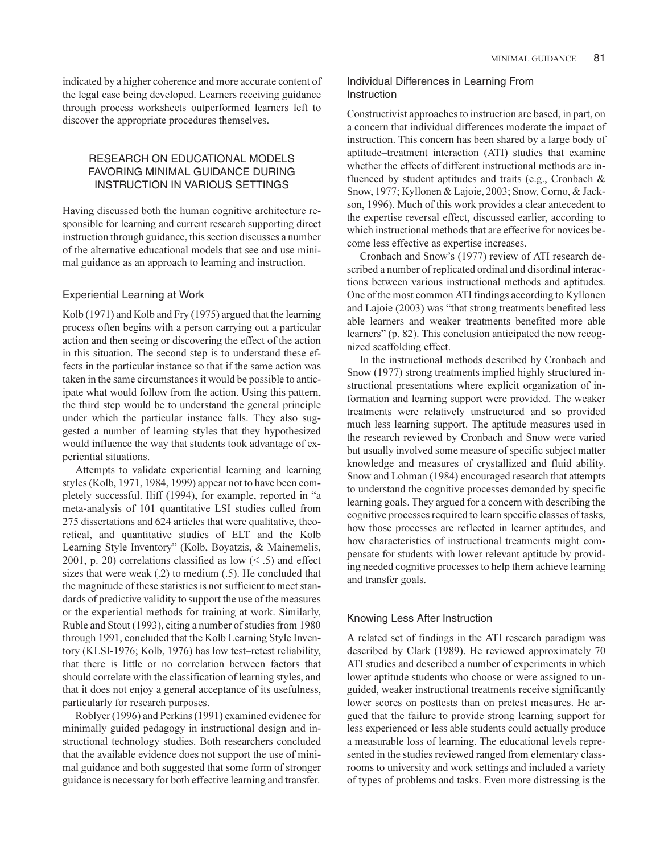indicated by a higher coherence and more accurate content of the legal case being developed. Learners receiving guidance through process worksheets outperformed learners left to discover the appropriate procedures themselves.

# RESEARCH ON EDUCATIONAL MODELS FAVORING MINIMAL GUIDANCE DURING INSTRUCTION IN VARIOUS SETTINGS

Having discussed both the human cognitive architecture responsible for learning and current research supporting direct instruction through guidance, this section discusses a number of the alternative educational models that see and use minimal guidance as an approach to learning and instruction.

## Experiential Learning at Work

Kolb (1971) and Kolb and Fry (1975) argued that the learning process often begins with a person carrying out a particular action and then seeing or discovering the effect of the action in this situation. The second step is to understand these effects in the particular instance so that if the same action was taken in the same circumstances it would be possible to anticipate what would follow from the action. Using this pattern, the third step would be to understand the general principle under which the particular instance falls. They also suggested a number of learning styles that they hypothesized would influence the way that students took advantage of experiential situations.

Attempts to validate experiential learning and learning styles (Kolb, 1971, 1984, 1999) appear not to have been completely successful. Iliff (1994), for example, reported in "a meta-analysis of 101 quantitative LSI studies culled from 275 dissertations and 624 articles that were qualitative, theoretical, and quantitative studies of ELT and the Kolb Learning Style Inventory" (Kolb, Boyatzis, & Mainemelis, 2001, p. 20) correlations classified as low  $(< .5)$  and effect sizes that were weak (.2) to medium (.5). He concluded that the magnitude of these statistics is not sufficient to meet standards of predictive validity to support the use of the measures or the experiential methods for training at work. Similarly, Ruble and Stout (1993), citing a number of studies from 1980 through 1991, concluded that the Kolb Learning Style Inventory (KLSI-1976; Kolb, 1976) has low test–retest reliability, that there is little or no correlation between factors that should correlate with the classification of learning styles, and that it does not enjoy a general acceptance of its usefulness, particularly for research purposes.

Roblyer (1996) and Perkins (1991) examined evidence for minimally guided pedagogy in instructional design and instructional technology studies. Both researchers concluded that the available evidence does not support the use of minimal guidance and both suggested that some form of stronger guidance is necessary for both effective learning and transfer.

## Individual Differences in Learning From Instruction

Constructivist approaches to instruction are based, in part, on a concern that individual differences moderate the impact of instruction. This concern has been shared by a large body of aptitude–treatment interaction (ATI) studies that examine whether the effects of different instructional methods are influenced by student aptitudes and traits (e.g., Cronbach & Snow, 1977; Kyllonen & Lajoie, 2003; Snow, Corno, & Jackson, 1996). Much of this work provides a clear antecedent to the expertise reversal effect, discussed earlier, according to which instructional methods that are effective for novices become less effective as expertise increases.

Cronbach and Snow's (1977) review of ATI research described a number of replicated ordinal and disordinal interactions between various instructional methods and aptitudes. One of the most common ATI findings according to Kyllonen and Lajoie (2003) was "that strong treatments benefited less able learners and weaker treatments benefited more able learners" (p. 82). This conclusion anticipated the now recognized scaffolding effect.

In the instructional methods described by Cronbach and Snow (1977) strong treatments implied highly structured instructional presentations where explicit organization of information and learning support were provided. The weaker treatments were relatively unstructured and so provided much less learning support. The aptitude measures used in the research reviewed by Cronbach and Snow were varied but usually involved some measure of specific subject matter knowledge and measures of crystallized and fluid ability. Snow and Lohman (1984) encouraged research that attempts to understand the cognitive processes demanded by specific learning goals. They argued for a concern with describing the cognitive processes required to learn specific classes of tasks, how those processes are reflected in learner aptitudes, and how characteristics of instructional treatments might compensate for students with lower relevant aptitude by providing needed cognitive processes to help them achieve learning and transfer goals.

#### Knowing Less After Instruction

A related set of findings in the ATI research paradigm was described by Clark (1989). He reviewed approximately 70 ATI studies and described a number of experiments in which lower aptitude students who choose or were assigned to unguided, weaker instructional treatments receive significantly lower scores on posttests than on pretest measures. He argued that the failure to provide strong learning support for less experienced or less able students could actually produce a measurable loss of learning. The educational levels represented in the studies reviewed ranged from elementary classrooms to university and work settings and included a variety of types of problems and tasks. Even more distressing is the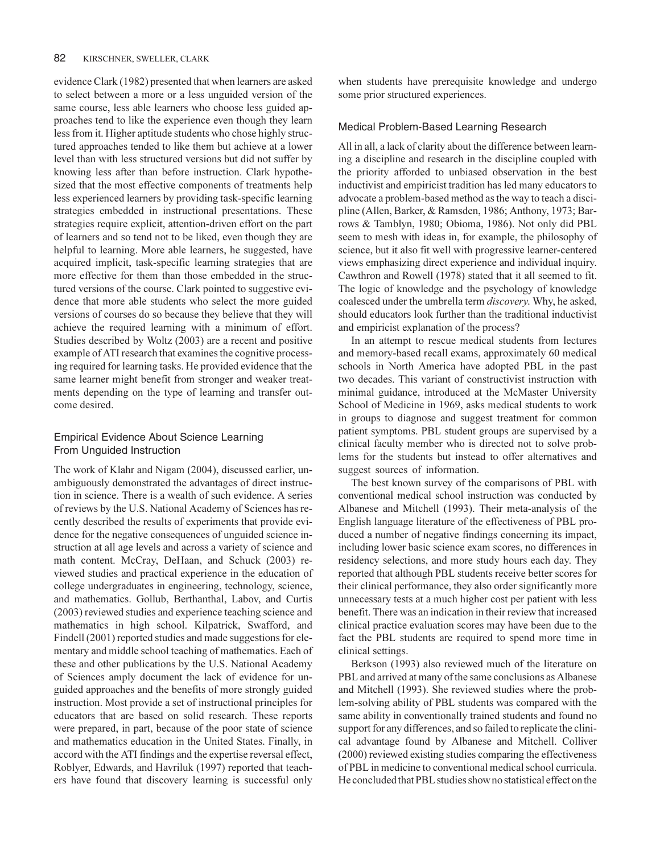evidence Clark (1982) presented that when learners are asked to select between a more or a less unguided version of the same course, less able learners who choose less guided approaches tend to like the experience even though they learn less from it. Higher aptitude students who chose highly structured approaches tended to like them but achieve at a lower level than with less structured versions but did not suffer by knowing less after than before instruction. Clark hypothesized that the most effective components of treatments help less experienced learners by providing task-specific learning strategies embedded in instructional presentations. These strategies require explicit, attention-driven effort on the part of learners and so tend not to be liked, even though they are helpful to learning. More able learners, he suggested, have acquired implicit, task-specific learning strategies that are more effective for them than those embedded in the structured versions of the course. Clark pointed to suggestive evidence that more able students who select the more guided versions of courses do so because they believe that they will achieve the required learning with a minimum of effort. Studies described by Woltz (2003) are a recent and positive example of ATI research that examines the cognitive processing required for learning tasks. He provided evidence that the same learner might benefit from stronger and weaker treatments depending on the type of learning and transfer outcome desired.

## Empirical Evidence About Science Learning From Unguided Instruction

The work of Klahr and Nigam (2004), discussed earlier, unambiguously demonstrated the advantages of direct instruction in science. There is a wealth of such evidence. A series of reviews by the U.S. National Academy of Sciences has recently described the results of experiments that provide evidence for the negative consequences of unguided science instruction at all age levels and across a variety of science and math content. McCray, DeHaan, and Schuck (2003) reviewed studies and practical experience in the education of college undergraduates in engineering, technology, science, and mathematics. Gollub, Berthanthal, Labov, and Curtis (2003) reviewed studies and experience teaching science and mathematics in high school. Kilpatrick, Swafford, and Findell (2001) reported studies and made suggestions for elementary and middle school teaching of mathematics. Each of these and other publications by the U.S. National Academy of Sciences amply document the lack of evidence for unguided approaches and the benefits of more strongly guided instruction. Most provide a set of instructional principles for educators that are based on solid research. These reports were prepared, in part, because of the poor state of science and mathematics education in the United States. Finally, in accord with the ATI findings and the expertise reversal effect, Roblyer, Edwards, and Havriluk (1997) reported that teachers have found that discovery learning is successful only

when students have prerequisite knowledge and undergo some prior structured experiences.

## Medical Problem-Based Learning Research

All in all, a lack of clarity about the difference between learning a discipline and research in the discipline coupled with the priority afforded to unbiased observation in the best inductivist and empiricist tradition has led many educators to advocate a problem-based method as the way to teach a discipline (Allen, Barker, & Ramsden, 1986; Anthony, 1973; Barrows & Tamblyn, 1980; Obioma, 1986). Not only did PBL seem to mesh with ideas in, for example, the philosophy of science, but it also fit well with progressive learner-centered views emphasizing direct experience and individual inquiry. Cawthron and Rowell (1978) stated that it all seemed to fit. The logic of knowledge and the psychology of knowledge coalesced under the umbrella term discovery. Why, he asked, should educators look further than the traditional inductivist and empiricist explanation of the process?

In an attempt to rescue medical students from lectures and memory-based recall exams, approximately 60 medical schools in North America have adopted PBL in the past two decades. This variant of constructivist instruction with minimal guidance, introduced at the McMaster University School of Medicine in 1969, asks medical students to work in groups to diagnose and suggest treatment for common patient symptoms. PBL student groups are supervised by a clinical faculty member who is directed not to solve problems for the students but instead to offer alternatives and suggest sources of information.

The best known survey of the comparisons of PBL with conventional medical school instruction was conducted by Albanese and Mitchell (1993). Their meta-analysis of the English language literature of the effectiveness of PBL produced a number of negative findings concerning its impact, including lower basic science exam scores, no differences in residency selections, and more study hours each day. They reported that although PBL students receive better scores for their clinical performance, they also order significantly more unnecessary tests at a much higher cost per patient with less benefit. There was an indication in their review that increased clinical practice evaluation scores may have been due to the fact the PBL students are required to spend more time in clinical settings.

Berkson (1993) also reviewed much of the literature on PBL and arrived at many of the same conclusions as Albanese and Mitchell (1993). She reviewed studies where the problem-solving ability of PBL students was compared with the same ability in conventionally trained students and found no support for any differences, and so failed to replicate the clinical advantage found by Albanese and Mitchell. Colliver (2000) reviewed existing studies comparing the effectiveness of PBL in medicine to conventional medical school curricula. He concluded that PBL studies show no statistical effect on the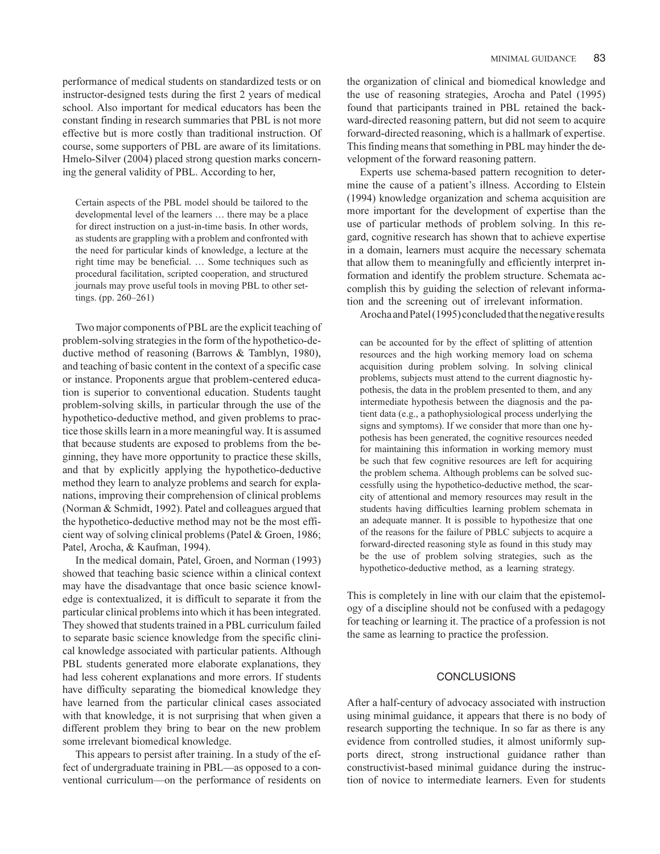performance of medical students on standardized tests or on instructor-designed tests during the first 2 years of medical school. Also important for medical educators has been the constant finding in research summaries that PBL is not more effective but is more costly than traditional instruction. Of course, some supporters of PBL are aware of its limitations. Hmelo-Silver (2004) placed strong question marks concerning the general validity of PBL. According to her,

Certain aspects of the PBL model should be tailored to the developmental level of the learners … there may be a place for direct instruction on a just-in-time basis. In other words, as students are grappling with a problem and confronted with the need for particular kinds of knowledge, a lecture at the right time may be beneficial. … Some techniques such as procedural facilitation, scripted cooperation, and structured journals may prove useful tools in moving PBL to other settings. (pp. 260–261)

Two major components of PBL are the explicit teaching of problem-solving strategies in the form of the hypothetico-deductive method of reasoning (Barrows & Tamblyn, 1980), and teaching of basic content in the context of a specific case or instance. Proponents argue that problem-centered education is superior to conventional education. Students taught problem-solving skills, in particular through the use of the hypothetico-deductive method, and given problems to practice those skills learn in a more meaningful way. It is assumed that because students are exposed to problems from the beginning, they have more opportunity to practice these skills, and that by explicitly applying the hypothetico-deductive method they learn to analyze problems and search for explanations, improving their comprehension of clinical problems (Norman & Schmidt, 1992). Patel and colleagues argued that the hypothetico-deductive method may not be the most efficient way of solving clinical problems (Patel & Groen, 1986; Patel, Arocha, & Kaufman, 1994).

In the medical domain, Patel, Groen, and Norman (1993) showed that teaching basic science within a clinical context may have the disadvantage that once basic science knowledge is contextualized, it is difficult to separate it from the particular clinical problems into which it has been integrated. They showed that students trained in a PBL curriculum failed to separate basic science knowledge from the specific clinical knowledge associated with particular patients. Although PBL students generated more elaborate explanations, they had less coherent explanations and more errors. If students have difficulty separating the biomedical knowledge they have learned from the particular clinical cases associated with that knowledge, it is not surprising that when given a different problem they bring to bear on the new problem some irrelevant biomedical knowledge.

This appears to persist after training. In a study of the effect of undergraduate training in PBL—as opposed to a conventional curriculum—on the performance of residents on

the organization of clinical and biomedical knowledge and the use of reasoning strategies, Arocha and Patel (1995) found that participants trained in PBL retained the backward-directed reasoning pattern, but did not seem to acquire forward-directed reasoning, which is a hallmark of expertise. This finding means that something in PBL may hinder the development of the forward reasoning pattern.

Experts use schema-based pattern recognition to determine the cause of a patient's illness. According to Elstein (1994) knowledge organization and schema acquisition are more important for the development of expertise than the use of particular methods of problem solving. In this regard, cognitive research has shown that to achieve expertise in a domain, learners must acquire the necessary schemata that allow them to meaningfully and efficiently interpret information and identify the problem structure. Schemata accomplish this by guiding the selection of relevant information and the screening out of irrelevant information.

Arocha and Patel (1995) concluded that the negative results

can be accounted for by the effect of splitting of attention resources and the high working memory load on schema acquisition during problem solving. In solving clinical problems, subjects must attend to the current diagnostic hypothesis, the data in the problem presented to them, and any intermediate hypothesis between the diagnosis and the patient data (e.g., a pathophysiological process underlying the signs and symptoms). If we consider that more than one hypothesis has been generated, the cognitive resources needed for maintaining this information in working memory must be such that few cognitive resources are left for acquiring the problem schema. Although problems can be solved successfully using the hypothetico-deductive method, the scarcity of attentional and memory resources may result in the students having difficulties learning problem schemata in an adequate manner. It is possible to hypothesize that one of the reasons for the failure of PBLC subjects to acquire a forward-directed reasoning style as found in this study may be the use of problem solving strategies, such as the hypothetico-deductive method, as a learning strategy.

This is completely in line with our claim that the epistemology of a discipline should not be confused with a pedagogy for teaching or learning it. The practice of a profession is not the same as learning to practice the profession.

## **CONCLUSIONS**

After a half-century of advocacy associated with instruction using minimal guidance, it appears that there is no body of research supporting the technique. In so far as there is any evidence from controlled studies, it almost uniformly supports direct, strong instructional guidance rather than constructivist-based minimal guidance during the instruction of novice to intermediate learners. Even for students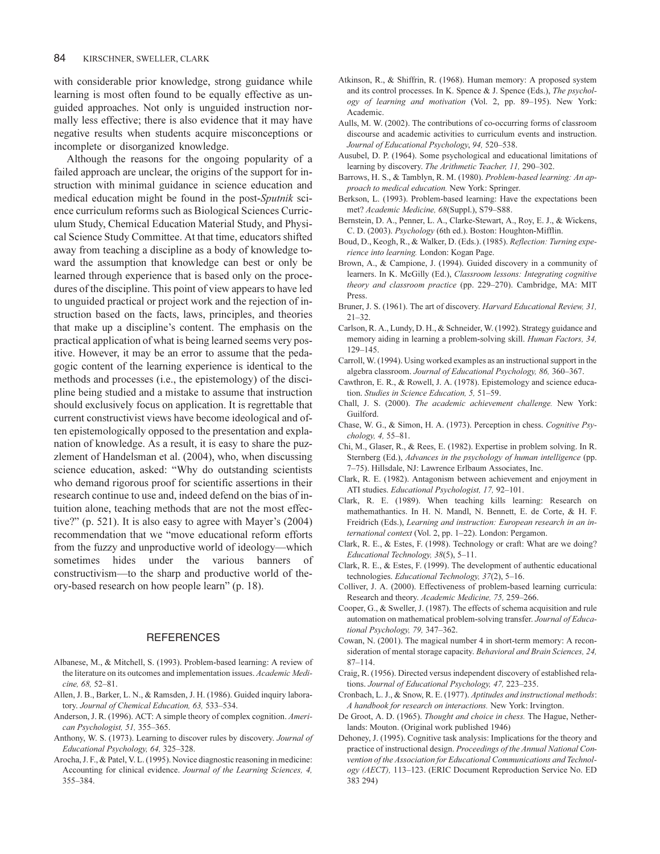with considerable prior knowledge, strong guidance while learning is most often found to be equally effective as unguided approaches. Not only is unguided instruction normally less effective; there is also evidence that it may have negative results when students acquire misconceptions or incomplete or disorganized knowledge.

Although the reasons for the ongoing popularity of a failed approach are unclear, the origins of the support for instruction with minimal guidance in science education and medical education might be found in the post-Sputnik science curriculum reforms such as Biological Sciences Curriculum Study, Chemical Education Material Study, and Physical Science Study Committee. At that time, educators shifted away from teaching a discipline as a body of knowledge toward the assumption that knowledge can best or only be learned through experience that is based only on the procedures of the discipline. This point of view appears to have led to unguided practical or project work and the rejection of instruction based on the facts, laws, principles, and theories that make up a discipline's content. The emphasis on the practical application of what is being learned seems very positive. However, it may be an error to assume that the pedagogic content of the learning experience is identical to the methods and processes (i.e., the epistemology) of the discipline being studied and a mistake to assume that instruction should exclusively focus on application. It is regrettable that current constructivist views have become ideological and often epistemologically opposed to the presentation and explanation of knowledge. As a result, it is easy to share the puzzlement of Handelsman et al. (2004), who, when discussing science education, asked: "Why do outstanding scientists who demand rigorous proof for scientific assertions in their research continue to use and, indeed defend on the bias of intuition alone, teaching methods that are not the most effective?" (p. 521). It is also easy to agree with Mayer's (2004) recommendation that we "move educational reform efforts from the fuzzy and unproductive world of ideology—which sometimes hides under the various banners of constructivism—to the sharp and productive world of theory-based research on how people learn" (p. 18).

#### **REFERENCES**

- Albanese, M., & Mitchell, S. (1993). Problem-based learning: A review of the literature on its outcomes and implementation issues. Academic Medicine, 68, 52–81.
- Allen, J. B., Barker, L. N., & Ramsden, J. H. (1986). Guided inquiry laboratory. Journal of Chemical Education, 63, 533–534.
- Anderson, J. R. (1996). ACT: A simple theory of complex cognition. American Psychologist, 51, 355–365.
- Anthony, W. S. (1973). Learning to discover rules by discovery. Journal of Educational Psychology, 64, 325–328.
- Arocha, J. F., & Patel, V. L. (1995). Novice diagnostic reasoning in medicine: Accounting for clinical evidence. Journal of the Learning Sciences, 4, 355–384.
- Atkinson, R., & Shiffrin, R. (1968). Human memory: A proposed system and its control processes. In K. Spence & J. Spence (Eds.), The psychology of learning and motivation (Vol. 2, pp. 89–195). New York: Academic.
- Aulls, M. W. (2002). The contributions of co-occurring forms of classroom discourse and academic activities to curriculum events and instruction. Journal of Educational Psychology, 94, 520–538.
- Ausubel, D. P. (1964). Some psychological and educational limitations of learning by discovery. The Arithmetic Teacher, 11, 290–302.
- Barrows, H. S., & Tamblyn, R. M. (1980). Problem-based learning: An approach to medical education. New York: Springer.
- Berkson, L. (1993). Problem-based learning: Have the expectations been met? Academic Medicine, 68(Suppl.), S79–S88.
- Bernstein, D. A., Penner, L. A., Clarke-Stewart, A., Roy, E. J., & Wickens, C. D. (2003). Psychology (6th ed.). Boston: Houghton-Mifflin.
- Boud, D., Keogh, R., & Walker, D. (Eds.). (1985). Reflection: Turning experience into learning. London: Kogan Page.
- Brown, A., & Campione, J. (1994). Guided discovery in a community of learners. In K. McGilly (Ed.), Classroom lessons: Integrating cognitive theory and classroom practice (pp. 229–270). Cambridge, MA: MIT Press.
- Bruner, J. S. (1961). The art of discovery. Harvard Educational Review, 31, 21–32.
- Carlson, R. A., Lundy, D. H., & Schneider, W. (1992). Strategy guidance and memory aiding in learning a problem-solving skill. Human Factors, 34, 129–145.
- Carroll, W. (1994). Using worked examples as an instructional support in the algebra classroom. Journal of Educational Psychology, 86, 360–367.
- Cawthron, E. R., & Rowell, J. A. (1978). Epistemology and science education. Studies in Science Education, 5, 51–59.
- Chall, J. S. (2000). The academic achievement challenge. New York: Guilford.
- Chase, W. G., & Simon, H. A. (1973). Perception in chess. Cognitive Psychology, 4, 55–81.
- Chi, M., Glaser, R., & Rees, E. (1982). Expertise in problem solving. In R. Sternberg (Ed.), Advances in the psychology of human intelligence (pp. 7–75). Hillsdale, NJ: Lawrence Erlbaum Associates, Inc.
- Clark, R. E. (1982). Antagonism between achievement and enjoyment in ATI studies. Educational Psychologist, 17, 92–101.
- Clark, R. E. (1989). When teaching kills learning: Research on mathemathantics. In H. N. Mandl, N. Bennett, E. de Corte, & H. F. Freidrich (Eds.), Learning and instruction: European research in an international context (Vol. 2, pp. 1–22). London: Pergamon.
- Clark, R. E., & Estes, F. (1998). Technology or craft: What are we doing? Educational Technology, 38(5), 5–11.
- Clark, R. E., & Estes, F. (1999). The development of authentic educational technologies. Educational Technology, 37(2), 5-16.
- Colliver, J. A. (2000). Effectiveness of problem-based learning curricula: Research and theory. Academic Medicine, 75, 259-266.
- Cooper, G., & Sweller, J. (1987). The effects of schema acquisition and rule automation on mathematical problem-solving transfer. Journal of Educational Psychology, 79, 347–362.
- Cowan, N. (2001). The magical number 4 in short-term memory: A reconsideration of mental storage capacity. Behavioral and Brain Sciences, 24, 87–114.
- Craig, R. (1956). Directed versus independent discovery of established relations. Journal of Educational Psychology, 47, 223–235.
- Cronbach, L. J., & Snow, R. E. (1977). Aptitudes and instructional methods: A handbook for research on interactions. New York: Irvington.
- De Groot, A. D. (1965). Thought and choice in chess. The Hague, Netherlands: Mouton. (Original work published 1946)
- Dehoney, J. (1995). Cognitive task analysis: Implications for the theory and practice of instructional design. Proceedings of the Annual National Convention of the Association for Educational Communications and Technology (AECT), 113–123. (ERIC Document Reproduction Service No. ED 383 294)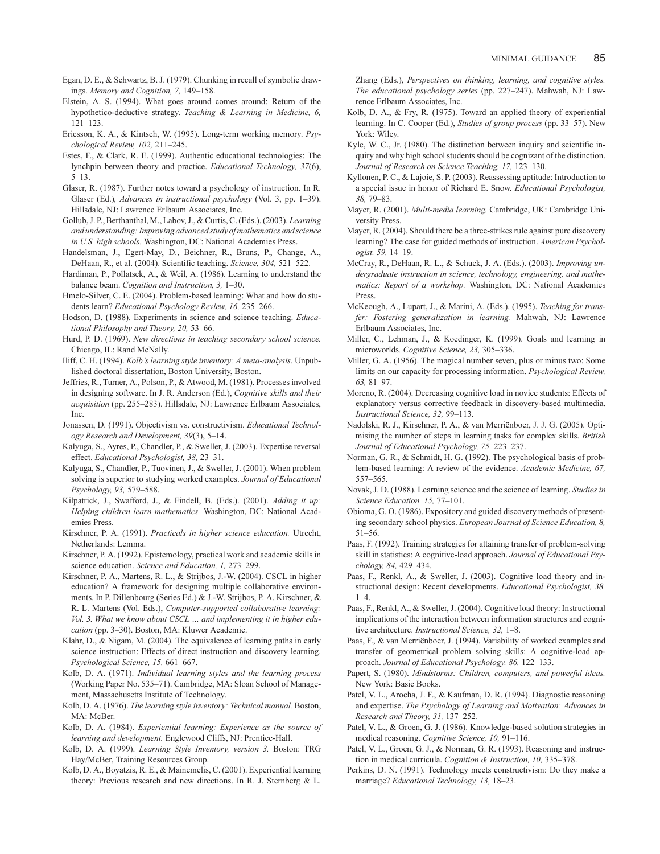- Egan, D. E., & Schwartz, B. J. (1979). Chunking in recall of symbolic drawings. Memory and Cognition, 7, 149–158.
- Elstein, A. S. (1994). What goes around comes around: Return of the hypothetico-deductive strategy. Teaching & Learning in Medicine, 6, 121–123.
- Ericsson, K. A., & Kintsch, W. (1995). Long-term working memory. Psychological Review, 102, 211–245.
- Estes, F., & Clark, R. E. (1999). Authentic educational technologies: The lynchpin between theory and practice. Educational Technology, 37(6), 5–13.
- Glaser, R. (1987). Further notes toward a psychology of instruction. In R. Glaser (Ed.), Advances in instructional psychology (Vol. 3, pp. 1–39). Hillsdale, NJ: Lawrence Erlbaum Associates, Inc.
- Gollub, J. P., Berthanthal, M., Labov, J., & Curtis, C. (Eds.). (2003). Learning and understanding: Improving advanced study of mathematics and science in U.S. high schools. Washington, DC: National Academies Press.
- Handelsman, J., Egert-May, D., Beichner, R., Bruns, P., Change, A., DeHaan, R., et al. (2004). Scientific teaching. Science, 304, 521–522.
- Hardiman, P., Pollatsek, A., & Weil, A. (1986). Learning to understand the balance beam. Cognition and Instruction, 3, 1–30.
- Hmelo-Silver, C. E. (2004). Problem-based learning: What and how do students learn? Educational Psychology Review, 16, 235–266.
- Hodson, D. (1988). Experiments in science and science teaching. Educational Philosophy and Theory, 20, 53–66.
- Hurd, P. D. (1969). New directions in teaching secondary school science. Chicago, IL: Rand McNally.
- Iliff, C. H. (1994). Kolb's learning style inventory: A meta-analysis. Unpublished doctoral dissertation, Boston University, Boston.
- Jeffries, R., Turner, A., Polson, P., & Atwood, M. (1981). Processes involved in designing software. In J. R. Anderson (Ed.), Cognitive skills and their acquisition (pp. 255–283). Hillsdale, NJ: Lawrence Erlbaum Associates, Inc.
- Jonassen, D. (1991). Objectivism vs. constructivism. Educational Technology Research and Development, 39(3), 5–14.
- Kalyuga, S., Ayres, P., Chandler, P., & Sweller, J. (2003). Expertise reversal effect. Educational Psychologist, 38, 23–31.
- Kalyuga, S., Chandler, P., Tuovinen, J., & Sweller, J. (2001). When problem solving is superior to studying worked examples. Journal of Educational Psychology, 93, 579–588.
- Kilpatrick, J., Swafford, J., & Findell, B. (Eds.). (2001). Adding it up: Helping children learn mathematics. Washington, DC: National Academies Press.
- Kirschner, P. A. (1991). Practicals in higher science education. Utrecht, Netherlands: Lemma.
- Kirschner, P. A. (1992). Epistemology, practical work and academic skills in science education. Science and Education, 1, 273-299.
- Kirschner, P. A., Martens, R. L., & Strijbos, J.-W. (2004). CSCL in higher education? A framework for designing multiple collaborative environments. In P. Dillenbourg (Series Ed.) & J.-W. Strijbos, P. A. Kirschner, & R. L. Martens (Vol. Eds.), Computer-supported collaborative learning: Vol. 3. What we know about CSCL … and implementing it in higher education (pp. 3–30). Boston, MA: Kluwer Academic.
- Klahr, D., & Nigam, M. (2004). The equivalence of learning paths in early science instruction: Effects of direct instruction and discovery learning. Psychological Science, 15, 661–667.
- Kolb, D. A. (1971). Individual learning styles and the learning process (Working Paper No. 535–71). Cambridge, MA: Sloan School of Management, Massachusetts Institute of Technology.
- Kolb, D. A. (1976). The learning style inventory: Technical manual. Boston, MA: McBer.
- Kolb, D. A. (1984). Experiential learning: Experience as the source of learning and development. Englewood Cliffs, NJ: Prentice-Hall.
- Kolb, D. A. (1999). Learning Style Inventory, version 3. Boston: TRG Hay/McBer, Training Resources Group.
- Kolb, D. A., Boyatzis, R. E., & Mainemelis, C. (2001). Experiential learning theory: Previous research and new directions. In R. J. Sternberg & L.

Zhang (Eds.), Perspectives on thinking, learning, and cognitive styles. The educational psychology series (pp. 227–247). Mahwah, NJ: Lawrence Erlbaum Associates, Inc.

- Kolb, D. A., & Fry, R. (1975). Toward an applied theory of experiential learning. In C. Cooper (Ed.), Studies of group process (pp. 33–57). New York: Wiley.
- Kyle, W. C., Jr. (1980). The distinction between inquiry and scientific inquiry and why high school students should be cognizant of the distinction. Journal of Research on Science Teaching, 17, 123–130.
- Kyllonen, P. C., & Lajoie, S. P. (2003). Reassessing aptitude: Introduction to a special issue in honor of Richard E. Snow. Educational Psychologist, 38, 79–83.
- Mayer, R. (2001). Multi-media learning. Cambridge, UK: Cambridge University Press.
- Mayer, R. (2004). Should there be a three-strikes rule against pure discovery learning? The case for guided methods of instruction. American Psychologist, 59, 14–19.
- McCray, R., DeHaan, R. L., & Schuck, J. A. (Eds.). (2003). Improving undergraduate instruction in science, technology, engineering, and mathematics: Report of a workshop. Washington, DC: National Academies Press.
- McKeough, A., Lupart, J., & Marini, A. (Eds.). (1995). Teaching for transfer: Fostering generalization in learning. Mahwah, NJ: Lawrence Erlbaum Associates, Inc.
- Miller, C., Lehman, J., & Koedinger, K. (1999). Goals and learning in microworlds. Cognitive Science, 23, 305–336.
- Miller, G. A. (1956). The magical number seven, plus or minus two: Some limits on our capacity for processing information. Psychological Review, 63, 81–97.
- Moreno, R. (2004). Decreasing cognitive load in novice students: Effects of explanatory versus corrective feedback in discovery-based multimedia. Instructional Science, 32, 99–113.
- Nadolski, R. J., Kirschner, P. A., & van Merriënboer, J. J. G. (2005). Optimising the number of steps in learning tasks for complex skills. British Journal of Educational Psychology, 75, 223–237.
- Norman, G. R., & Schmidt, H. G. (1992). The psychological basis of problem-based learning: A review of the evidence. Academic Medicine, 67, 557–565.
- Novak, J. D. (1988). Learning science and the science of learning. Studies in Science Education, 15, 77–101.
- Obioma, G. O. (1986). Expository and guided discovery methods of presenting secondary school physics. European Journal of Science Education, 8, 51–56.
- Paas, F. (1992). Training strategies for attaining transfer of problem-solving skill in statistics: A cognitive-load approach. Journal of Educational Psychology, 84, 429–434.
- Paas, F., Renkl, A., & Sweller, J. (2003). Cognitive load theory and instructional design: Recent developments. Educational Psychologist, 38,  $1-4.$
- Paas, F., Renkl, A., & Sweller, J. (2004). Cognitive load theory: Instructional implications of the interaction between information structures and cognitive architecture. Instructional Science, 32, 1–8.
- Paas, F., & van Merriënboer, J. (1994). Variability of worked examples and transfer of geometrical problem solving skills: A cognitive-load approach. Journal of Educational Psychology, 86, 122–133.
- Papert, S. (1980). Mindstorms: Children, computers, and powerful ideas. New York: Basic Books.
- Patel, V. L., Arocha, J. F., & Kaufman, D. R. (1994). Diagnostic reasoning and expertise. The Psychology of Learning and Motivation: Advances in Research and Theory, 31, 137–252.
- Patel, V. L., & Groen, G. J. (1986). Knowledge-based solution strategies in medical reasoning. Cognitive Science, 10, 91–116.
- Patel, V. L., Groen, G. J., & Norman, G. R. (1993). Reasoning and instruction in medical curricula. Cognition & Instruction, 10, 335–378.
- Perkins, D. N. (1991). Technology meets constructivism: Do they make a marriage? Educational Technology, 13, 18–23.